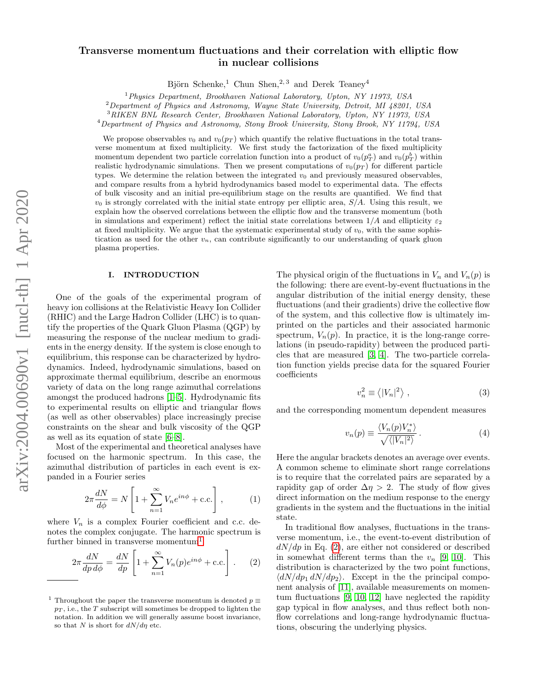# arXiv:2004.00690v1 [nucl-th] 1 Apr 2020 arXiv:2004.00690v1 [nucl-th] 1 Apr 2020

# Transverse momentum fluctuations and their correlation with elliptic flow in nuclear collisions

Björn Schenke,<sup>1</sup> Chun Shen,<sup>2, 3</sup> and Derek Teaney<sup>4</sup>

 $1$ Physics Department, Brookhaven National Laboratory, Upton, NY 11973, USA

<sup>2</sup>Department of Physics and Astronomy, Wayne State University, Detroit, MI 48201, USA

<sup>3</sup>RIKEN BNL Research Center, Brookhaven National Laboratory, Upton, NY 11973, USA

<sup>4</sup>Department of Physics and Astronomy, Stony Brook University, Stony Brook, NY 11794, USA

We propose observables  $v_0$  and  $v_0(p_T)$  which quantify the relative fluctuations in the total transverse momentum at fixed multiplicity. We first study the factorization of the fixed multiplicity momentum dependent two particle correlation function into a product of  $v_0(p_T^a)$  and  $v_0(p_T^b)$  within realistic hydrodynamic simulations. Then we present computations of  $v_0(p_T)$  for different particle types. We determine the relation between the integrated  $v_0$  and previously measured observables, and compare results from a hybrid hydrodynamics based model to experimental data. The effects of bulk viscosity and an initial pre-equilibrium stage on the results are quantified. We find that  $v_0$  is strongly correlated with the initial state entropy per elliptic area,  $S/A$ . Using this result, we explain how the observed correlations between the elliptic flow and the transverse momentum (both in simulations and experiment) reflect the initial state correlations between  $1/A$  and ellipticity  $\varepsilon_2$ at fixed multiplicity. We argue that the systematic experimental study of  $v_0$ , with the same sophistication as used for the other  $v_n$ , can contribute significantly to our understanding of quark gluon plasma properties.

### I. INTRODUCTION

One of the goals of the experimental program of heavy ion collisions at the Relativistic Heavy Ion Collider (RHIC) and the Large Hadron Collider (LHC) is to quantify the properties of the Quark Gluon Plasma (QGP) by measuring the response of the nuclear medium to gradients in the energy density. If the system is close enough to equilibrium, this response can be characterized by hydrodynamics. Indeed, hydrodynamic simulations, based on approximate thermal equilibrium, describe an enormous variety of data on the long range azimuthal correlations amongst the produced hadrons [\[1–](#page-11-0)[5\]](#page-11-1). Hydrodynamic fits to experimental results on elliptic and triangular flows (as well as other observables) place increasingly precise constraints on the shear and bulk viscosity of the QGP as well as its equation of state [\[6–](#page-11-2)[8\]](#page-11-3).

Most of the experimental and theoretical analyses have focused on the harmonic spectrum. In this case, the azimuthal distribution of particles in each event is expanded in a Fourier series

$$
2\pi \frac{dN}{d\phi} = N \left[ 1 + \sum_{n=1}^{\infty} V_n e^{in\phi} + \text{c.c.} \right],\tag{1}
$$

where  $V_n$  is a complex Fourier coefficient and c.c. denotes the complex conjugate. The harmonic spectrum is further binned in transverse momentum $1$ 

<span id="page-0-1"></span>
$$
2\pi \frac{dN}{dp \, d\phi} = \frac{dN}{dp} \left[ 1 + \sum_{n=1}^{\infty} V_n(p) e^{in\phi} + \text{c.c.} \right]. \tag{2}
$$

The physical origin of the fluctuations in  $V_n$  and  $V_n(p)$  is the following: there are event-by-event fluctuations in the angular distribution of the initial energy density, these fluctuations (and their gradients) drive the collective flow of the system, and this collective flow is ultimately imprinted on the particles and their associated harmonic spectrum,  $V_n(p)$ . In practice, it is the long-range correlations (in pseudo-rapidity) between the produced particles that are measured [\[3,](#page-11-4) [4\]](#page-11-5). The two-particle correlation function yields precise data for the squared Fourier coefficients

$$
v_n^2 \equiv \langle |V_n|^2 \rangle \;, \tag{3}
$$

and the corresponding momentum dependent measures

$$
v_n(p) \equiv \frac{\langle V_n(p)V_n^* \rangle}{\sqrt{\langle |V_n|^2 \rangle}}.
$$
 (4)

Here the angular brackets denotes an average over events. A common scheme to eliminate short range correlations is to require that the correlated pairs are separated by a rapidity gap of order  $\Delta \eta > 2$ . The study of flow gives direct information on the medium response to the energy gradients in the system and the fluctuations in the initial state.

In traditional flow analyses, fluctuations in the transverse momentum, i.e., the event-to-event distribution of  $dN/dp$  in Eq. [\(2\)](#page-0-1), are either not considered or described in somewhat different terms than the  $v_n$  [\[9,](#page-12-0) [10\]](#page-12-1). This distribution is characterized by the two point functions,  $\langle dN/dp_1 dN/dp_2 \rangle$ . Except in the the principal component analysis of [\[11\]](#page-12-2), available measurements on momentum fluctuations [\[9,](#page-12-0) [10,](#page-12-1) [12\]](#page-12-3) have neglected the rapidity gap typical in flow analyses, and thus reflect both nonflow correlations and long-range hydrodynamic fluctuations, obscuring the underlying physics.

<span id="page-0-0"></span><sup>&</sup>lt;sup>1</sup> Throughout the paper the transverse momentum is denoted  $p \equiv$  $p_T$ , i.e., the T subscript will sometimes be dropped to lighten the notation. In addition we will generally assume boost invariance, so that N is short for  $dN/d\eta$  etc.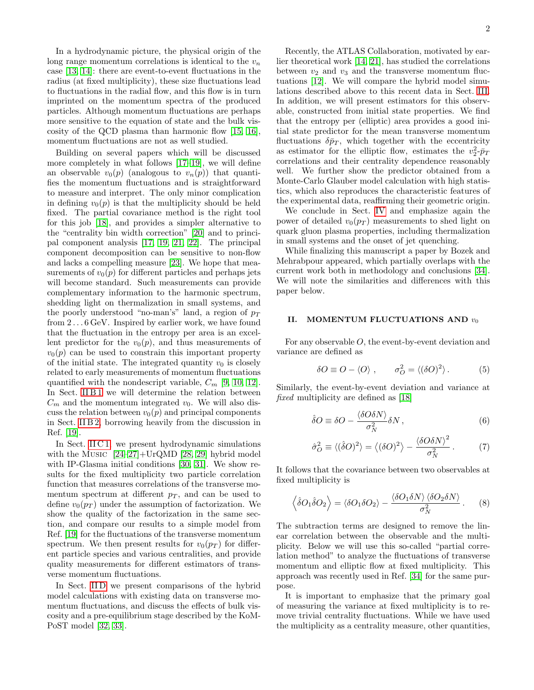In a hydrodynamic picture, the physical origin of the long range momentum correlations is identical to the  $v_n$ case [\[13,](#page-12-4) [14\]](#page-12-5): there are event-to-event fluctuations in the radius (at fixed multiplicity), these size fluctuations lead to fluctuations in the radial flow, and this flow is in turn imprinted on the momentum spectra of the produced particles. Although momentum fluctuations are perhaps more sensitive to the equation of state and the bulk viscosity of the QCD plasma than harmonic flow [\[15,](#page-12-6) [16\]](#page-12-7), momentum fluctuations are not as well studied.

Building on several papers which will be discussed more completely in what follows  $[17-19]$  $[17-19]$ , we will define an observable  $v_0(p)$  (analogous to  $v_n(p)$ ) that quantifies the momentum fluctuations and is straightforward to measure and interpret. The only minor complication in defining  $v_0(p)$  is that the multiplicity should be held fixed. The partial covariance method is the right tool for this job [\[18\]](#page-12-10), and provides a simpler alternative to the "centrality bin width correction" [\[20\]](#page-12-11) and to principal component analysis [\[17,](#page-12-8) [19,](#page-12-9) [21,](#page-12-12) [22\]](#page-12-13). The principal component decomposition can be sensitive to non-flow and lacks a compelling measure [\[23\]](#page-12-14). We hope that measurements of  $v_0(p)$  for different particles and perhaps jets will become standard. Such measurements can provide complementary information to the harmonic spectrum, shedding light on thermalization in small systems, and the poorly understood "no-man's" land, a region of  $p_T$ from 2 . . . 6 GeV. Inspired by earlier work, we have found that the fluctuation in the entropy per area is an excellent predictor for the  $v_0(p)$ , and thus measurements of  $v_0(p)$  can be used to constrain this important property of the initial state. The integrated quantity  $v_0$  is closely related to early measurements of momentum fluctuations quantified with the nondescript variable,  $C_m$  [\[9,](#page-12-0) [10,](#page-12-1) [12\]](#page-12-3). In Sect. [II B 1](#page-3-0) we will determine the relation between  $C_m$  and the momentum integrated  $v_0$ . We will also discuss the relation between  $v_0(p)$  and principal components in Sect. [II B 2,](#page-4-0) borrowing heavily from the discussion in Ref. [\[19\]](#page-12-9).

In Sect. [II C 1,](#page-4-1) we present hydrodynamic simulations with the Music [\[24](#page-12-15)[–27\]](#page-12-16)+UrQMD [\[28,](#page-12-17) [29\]](#page-12-18) hybrid model with IP-Glasma initial conditions [\[30,](#page-12-19) [31\]](#page-12-20). We show results for the fixed multiplicity two particle correlation function that measures correlations of the transverse momentum spectrum at different  $p_T$ , and can be used to define  $v_0(p_T)$  under the assumption of factorization. We show the quality of the factorization in the same section, and compare our results to a simple model from Ref. [\[19\]](#page-12-9) for the fluctuations of the transverse momentum spectrum. We then present results for  $v_0(p_T)$  for different particle species and various centralities, and provide quality measurements for different estimators of transverse momentum fluctuations.

In Sect. IID we present comparisons of the hybrid model calculations with existing data on transverse momentum fluctuations, and discuss the effects of bulk viscosity and a pre-equilibrium stage described by the KoM-PoST model [\[32,](#page-12-21) [33\]](#page-12-22).

Recently, the ATLAS Collaboration, motivated by earlier theoretical work [\[14,](#page-12-5) [21\]](#page-12-12), has studied the correlations between  $v_2$  and  $v_3$  and the transverse momentum fluctuations [\[12\]](#page-12-3). We will compare the hybrid model simulations described above to this recent data in Sect. [III.](#page-8-0) In addition, we will present estimators for this observable, constructed from initial state properties. We find that the entropy per (elliptic) area provides a good initial state predictor for the mean transverse momentum fluctuations  $\delta \bar{p}_T$ , which together with the eccentricity as estimator for the elliptic flow, estimates the  $v_2^2 \cdot \bar{p}_T$ correlations and their centrality dependence reasonably well. We further show the predictor obtained from a Monte-Carlo Glauber model calculation with high statistics, which also reproduces the characteristic features of the experimental data, reaffirming their geometric origin.

We conclude in Sect. [IV](#page-10-0) and emphasize again the power of detailed  $v_0(p_T)$  measurements to shed light on quark gluon plasma properties, including thermalization in small systems and the onset of jet quenching.

While finalizing this manuscript a paper by Bozek and Mehrabpour appeared, which partially overlaps with the current work both in methodology and conclusions [\[34\]](#page-12-23). We will note the similarities and differences with this paper below.

# <span id="page-1-1"></span>II. MOMENTUM FLUCTUATIONS AND  $v_0$

For any observable O, the event-by-event deviation and variance are defined as

$$
\delta O \equiv O - \langle O \rangle , \qquad \sigma_O^2 = \langle (\delta O)^2 \rangle . \tag{5}
$$

Similarly, the event-by-event deviation and variance at fixed multiplicity are defined as [\[18\]](#page-12-10)

$$
\hat{\delta}O \equiv \delta O - \frac{\langle \delta O \delta N \rangle}{\sigma_N^2} \delta N \,, \tag{6}
$$

$$
\hat{\sigma}_O^2 \equiv \langle (\hat{\delta}O)^2 \rangle = \langle (\delta O)^2 \rangle - \frac{\langle \delta O \delta N \rangle^2}{\sigma_N^2} \,. \tag{7}
$$

It follows that the covariance between two observables at fixed multiplicity is

<span id="page-1-0"></span>
$$
\left\langle \hat{\delta}O_1 \hat{\delta}O_2 \right\rangle = \left\langle \delta O_1 \delta O_2 \right\rangle - \frac{\left\langle \delta O_1 \delta N \right\rangle \left\langle \delta O_2 \delta N \right\rangle}{\sigma_N^2} . \tag{8}
$$

The subtraction terms are designed to remove the linear correlation between the observable and the multiplicity. Below we will use this so-called "partial correlation method" to analyze the fluctuations of transverse momentum and elliptic flow at fixed multiplicity. This approach was recently used in Ref. [\[34\]](#page-12-23) for the same purpose.

It is important to emphasize that the primary goal of measuring the variance at fixed multiplicity is to remove trivial centrality fluctuations. While we have used the multiplicity as a centrality measure, other quantities,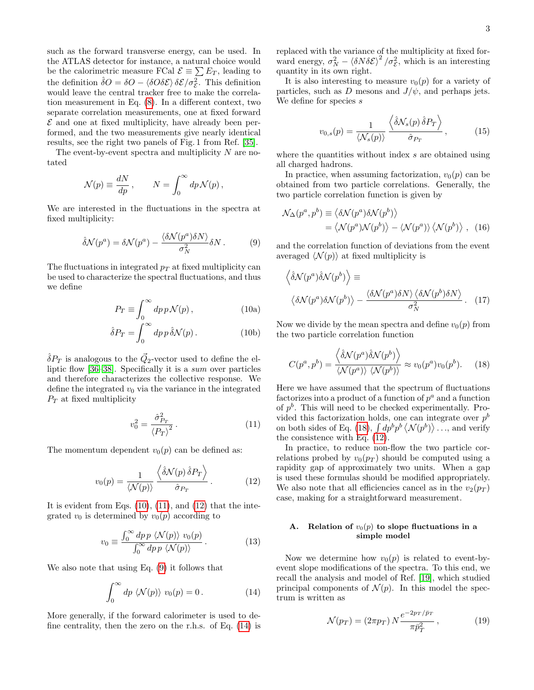such as the forward transverse energy, can be used. In the ATLAS detector for instance, a natural choice would be the calorimetric measure FCal  $\mathcal{E} \equiv \sum E_T$ , leading to the definition  $\hat{\delta}O = \delta O - \langle \delta O \delta \mathcal{E} \rangle \delta \mathcal{E} / \sigma_{\mathcal{E}}^2$ . This definition would leave the central tracker free to make the correlation measurement in Eq. [\(8\)](#page-1-0). In a different context, two separate correlation measurements, one at fixed forward  $\mathcal E$  and one at fixed multiplicity, have already been performed, and the two measurements give nearly identical results, see the right two panels of Fig. 1 from Ref. [\[35\]](#page-12-24).

The event-by-event spectra and multiplicity  $N$  are notated

$$
\mathcal{N}(p) \equiv \frac{dN}{dp} \,, \qquad N = \int_0^\infty dp \, \mathcal{N}(p) \,,
$$

We are interested in the fluctuations in the spectra at fixed multiplicity:

<span id="page-2-3"></span>
$$
\hat{\delta}\mathcal{N}(p^a) = \delta\mathcal{N}(p^a) - \frac{\langle \delta\mathcal{N}(p^a)\delta N \rangle}{\sigma_N^2} \delta N. \tag{9}
$$

The fluctuations in integrated  $p_T$  at fixed multiplicity can be used to characterize the spectral fluctuations, and thus we define

<span id="page-2-0"></span>
$$
P_T \equiv \int_0^\infty dp \, p \mathcal{N}(p) \,, \tag{10a}
$$

$$
\hat{\delta}P_T = \int_0^\infty dp \, p \, \hat{\delta} \mathcal{N}(p) \,. \tag{10b}
$$

 $\hat{\delta}P_T$  is analogous to the  $\vec{Q}_2$ -vector used to define the elliptic flow [\[36](#page-12-25)[–38\]](#page-12-26). Specifically it is a sum over particles and therefore characterizes the collective response. We define the integrated  $v_0$  via the variance in the integrated  $P_T$  at fixed multiplicity

<span id="page-2-1"></span>
$$
v_0^2 = \frac{\hat{\sigma}_{P_T}^2}{\langle P_T \rangle^2} \,. \tag{11}
$$

The momentum dependent  $v_0(p)$  can be defined as:

<span id="page-2-2"></span>
$$
v_0(p) = \frac{1}{\langle N(p) \rangle} \frac{\langle \hat{\delta} N(p) \hat{\delta} P_T \rangle}{\hat{\sigma}_{P_T}}.
$$
 (12)

It is evident from Eqs.  $(10)$ ,  $(11)$ , and  $(12)$  that the integrated  $v_0$  is determined by  $v_0(p)$  according to

$$
v_0 \equiv \frac{\int_0^\infty dp \, p \, \langle \mathcal{N}(p) \rangle \, v_0(p)}{\int_0^\infty dp \, p \, \langle \mathcal{N}(p) \rangle} \,. \tag{13}
$$

We also note that using Eq. [\(9\)](#page-2-3) it follows that

<span id="page-2-4"></span>
$$
\int_0^\infty dp \langle \mathcal{N}(p) \rangle v_0(p) = 0.
$$
 (14)

More generally, if the forward calorimeter is used to define centrality, then the zero on the r.h.s. of Eq. [\(14\)](#page-2-4) is replaced with the variance of the multiplicity at fixed forward energy,  $\sigma_N^2 - \langle \delta N \delta \mathcal{E} \rangle^2 / \sigma_{\mathcal{E}}^2$ , which is an interesting quantity in its own right.

It is also interesting to measure  $v_0(p)$  for a variety of particles, such as D mesons and  $J/\psi$ , and perhaps jets. We define for species s

<span id="page-2-7"></span>
$$
v_{0,s}(p) = \frac{1}{\langle N_s(p) \rangle} \frac{\langle \hat{\delta} N_s(p) \hat{\delta} P_T \rangle}{\hat{\sigma}_{P_T}}, \quad (15)
$$

where the quantities without index s are obtained using all charged hadrons.

In practice, when assuming factorization,  $v_0(p)$  can be obtained from two particle correlations. Generally, the two particle correlation function is given by

$$
\mathcal{N}_{\Delta}(p^a, p^b) \equiv \langle \delta \mathcal{N}(p^a) \delta \mathcal{N}(p^b) \rangle \n= \langle \mathcal{N}(p^a) \mathcal{N}(p^b) \rangle - \langle \mathcal{N}(p^a) \rangle \langle \mathcal{N}(p^b) \rangle , \quad (16)
$$

and the correlation function of deviations from the event averaged  $\langle \mathcal{N}(p) \rangle$  at fixed multiplicity is

$$
\langle \hat{\delta} \mathcal{N}(p^a) \hat{\delta} \mathcal{N}(p^b) \rangle \equiv
$$

$$
\langle \delta \mathcal{N}(p^a) \delta \mathcal{N}(p^b) \rangle - \frac{\langle \delta \mathcal{N}(p^a) \delta \mathcal{N} \rangle \langle \delta \mathcal{N}(p^b) \delta \mathcal{N} \rangle}{\sigma_N^2}.
$$
 (17)

Now we divide by the mean spectra and define  $v_0(p)$  from the two particle correlation function

<span id="page-2-5"></span>
$$
C(p^a, p^b) = \frac{\langle \hat{\delta} \mathcal{N}(p^a) \hat{\delta} \mathcal{N}(p^b) \rangle}{\langle \mathcal{N}(p^a) \rangle \langle \mathcal{N}(p^b) \rangle} \approx v_0(p^a) v_0(p^b).
$$
 (18)

Here we have assumed that the spectrum of fluctuations factorizes into a product of a function of  $p^a$  and a function of  $p^b$ . This will need to be checked experimentally. Provided this factorization holds, one can integrate over  $p<sup>b</sup>$ on both sides of Eq. [\(18\)](#page-2-5),  $\int dp^b p^b \langle \mathcal{N}(p^b) \rangle$ ..., and verify the consistence with Eq. [\(12\)](#page-2-2).

In practice, to reduce non-flow the two particle correlations probed by  $v_0(p_T)$  should be computed using a rapidity gap of approximately two units. When a gap is used these formulas should be modified appropriately. We also note that all efficiencies cancel as in the  $v_2(p_T)$ case, making for a straightforward measurement.

# <span id="page-2-6"></span>A. Relation of  $v_0(p)$  to slope fluctuations in a simple model

Now we determine how  $v_0(p)$  is related to event-byevent slope modifications of the spectra. To this end, we recall the analysis and model of Ref. [\[19\]](#page-12-9), which studied principal components of  $\mathcal{N}(p)$ . In this model the spectrum is written as

$$
\mathcal{N}(p_T) = (2\pi p_T) N \frac{e^{-2p_T/\bar{p}_T}}{\pi \bar{p}_T^2},\qquad(19)
$$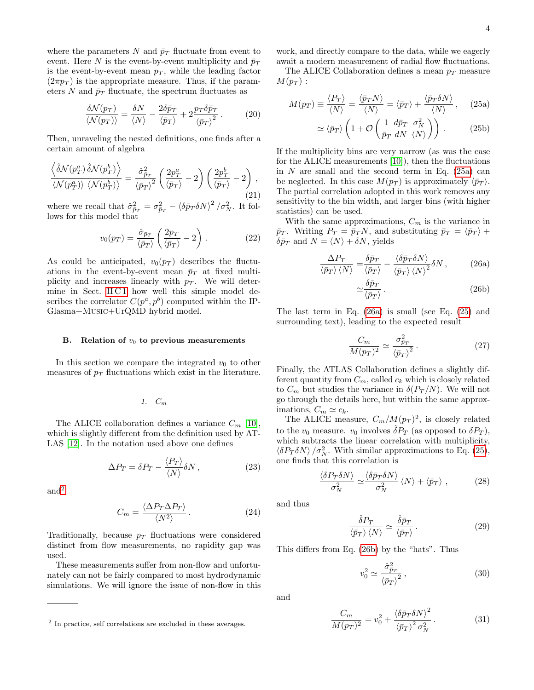where the parameters N and  $\bar{p}_T$  fluctuate from event to event. Here N is the event-by-event multiplicity and  $\bar{p}_T$ is the event-by-event mean  $p_T$ , while the leading factor  $(2\pi p_T)$  is the appropriate measure. Thus, if the parameters N and  $\bar{p}_T$  fluctuate, the spectrum fluctuates as

$$
\frac{\delta \mathcal{N}(p_T)}{\langle \mathcal{N}(p_T) \rangle} = \frac{\delta N}{\langle N \rangle} - \frac{2\delta \bar{p}_T}{\langle \bar{p}_T \rangle} + 2 \frac{p_T \delta \bar{p}_T}{\langle \bar{p}_T \rangle^2} \,. \tag{20}
$$

Then, unraveling the nested definitions, one finds after a certain amount of algebra

<span id="page-3-6"></span>
$$
\frac{\left\langle \hat{\delta} \mathcal{N}(p_T^a) \hat{\delta} \mathcal{N}(p_T^b) \right\rangle}{\left\langle \mathcal{N}(p_T^a) \right\rangle \left\langle \mathcal{N}(p_T^b) \right\rangle} = \frac{\hat{\sigma}_{\bar{p}_T}^2}{\left\langle \bar{p}_T \right\rangle^2} \left( \frac{2p_T^a}{\left\langle \bar{p}_T \right\rangle} - 2 \right) \left( \frac{2p_T^b}{\left\langle \bar{p}_T \right\rangle} - 2 \right),\tag{21}
$$

where we recall that  $\hat{\sigma}_{\bar{p}_T}^2 = \sigma_{\bar{p}_T}^2 - \langle \delta \bar{p}_T \delta N \rangle^2 / \sigma_N^2$ . It follows for this model that

<span id="page-3-8"></span>
$$
v_0(p_T) = \frac{\hat{\sigma}_{\bar{p}_T}}{\langle \bar{p}_T \rangle} \left( \frac{2p_T}{\langle \bar{p}_T \rangle} - 2 \right).
$$
 (22)

As could be anticipated,  $v_0(p_T)$  describes the fluctuations in the event-by-event mean  $\bar{p}_T$  at fixed multiplicity and increases linearly with  $p_T$ . We will determine in Sect. II C1 how well this simple model describes the correlator  $C(p^a, p^b)$  computed within the IP-Glasma+Music+UrQMD hybrid model.

### <span id="page-3-10"></span>B. Relation of  $v_0$  to previous measurements

In this section we compare the integrated  $v_0$  to other measures of  $p_T$  fluctuations which exist in the literature.

<span id="page-3-0"></span>1. C<sup>m</sup>

The ALICE collaboration defines a variance  $C_m$  [\[10\]](#page-12-1), which is slightly different from the definition used by AT-LAS [\[12\]](#page-12-3). In the notation used above one defines

$$
\Delta P_T = \delta P_T - \frac{\langle P_T \rangle}{\langle N \rangle} \delta N \,, \tag{23}
$$

and<sup>[2](#page-3-1)</sup>

$$
C_m = \frac{\langle \Delta P_T \Delta P_T \rangle}{\langle N^2 \rangle} \,. \tag{24}
$$

Traditionally, because  $p_T$  fluctuations were considered distinct from flow measurements, no rapidity gap was used.

These measurements suffer from non-flow and unfortunately can not be fairly compared to most hydrodynamic simulations. We will ignore the issue of non-flow in this work, and directly compare to the data, while we eagerly await a modern measurement of radial flow fluctuations.

The ALICE Collaboration defines a mean  $p_T$  measure  $M(p_T):$ 

<span id="page-3-4"></span>
$$
M(p_T) \equiv \frac{\langle P_T \rangle}{\langle N \rangle} = \frac{\langle \bar{p}_T N \rangle}{\langle N \rangle} = \langle \bar{p}_T \rangle + \frac{\langle \bar{p}_T \delta N \rangle}{\langle N \rangle}, \quad (25a)
$$

<span id="page-3-2"></span>
$$
\simeq \langle \bar{p}_T \rangle \left( 1 + \mathcal{O} \left( \frac{1}{\bar{p}_T} \frac{d \bar{p}_T}{dN} \frac{\sigma_N^2}{\langle N \rangle} \right) \right) . \tag{25b}
$$

If the multiplicity bins are very narrow (as was the case for the ALICE measurements [\[10\]](#page-12-1)), then the fluctuations in  $N$  are small and the second term in Eq. [\(25a\)](#page-3-2) can be neglected. In this case  $M(p_T)$  is approximately  $\langle \bar{p}_T \rangle$ . The partial correlation adopted in this work removes any sensitivity to the bin width, and larger bins (with higher statistics) can be used.

With the same approximations,  $C_m$  is the variance in  $\bar{p}_T$ . Writing  $P_T = \bar{p}_T N$ , and substituting  $\bar{p}_T = \langle \bar{p}_T \rangle +$  $\delta \bar{p}_T$  and  $N = \langle N \rangle + \delta N$ , yields

$$
\frac{\Delta P_T}{\langle \bar{p}_T \rangle \langle N \rangle} = \frac{\delta \bar{p}_T}{\langle \bar{p}_T \rangle} - \frac{\langle \delta \bar{p}_T \delta N \rangle}{\langle \bar{p}_T \rangle \langle N \rangle^2} \delta N , \qquad (26a)
$$

<span id="page-3-5"></span><span id="page-3-3"></span>
$$
\simeq \frac{\delta \bar{p}_T}{\langle \bar{p}_T \rangle} \,. \tag{26b}
$$

The last term in Eq. [\(26a\)](#page-3-3) is small (see Eq. [\(25\)](#page-3-4) and surrounding text), leading to the expected result

<span id="page-3-9"></span>
$$
\frac{C_m}{M(p_T)^2} \simeq \frac{\sigma_{\bar{p}_T}^2}{\langle \bar{p}_T \rangle^2} \,. \tag{27}
$$

Finally, the ATLAS Collaboration defines a slightly different quantity from  $C_m$ , called  $c_k$  which is closely related to  $C_m$  but studies the variance in  $\delta(P_T/N)$ . We will not go through the details here, but within the same approximations,  $C_m \simeq c_k$ .

The ALICE measure,  $C_m/M(p_T)^2$ , is closely related to the  $v_0$  measure.  $v_0$  involves  $\hat{\delta}P_T$  (as opposed to  $\delta P_T$ ), which subtracts the linear correlation with multiplicity,  $\langle \delta P_T \delta N \rangle / \sigma_N^2$ . With similar approximations to Eq. [\(25\)](#page-3-4), one finds that this correlation is

$$
\frac{\langle \delta P_T \delta N \rangle}{\sigma_N^2} \simeq \frac{\langle \delta \bar{p}_T \delta N \rangle}{\sigma_N^2} \langle N \rangle + \langle \bar{p}_T \rangle , \qquad (28)
$$

and thus

$$
\frac{\hat{\delta}P_T}{\langle \bar{p}_T \rangle \langle N \rangle} \simeq \frac{\hat{\delta}\bar{p}_T}{\langle \bar{p}_T \rangle} \,. \tag{29}
$$

This differs from Eq. [\(26b\)](#page-3-5) by the "hats". Thus

$$
v_0^2 \simeq \frac{\hat{\sigma}_{\bar{p}_T}^2}{\langle \bar{p}_T \rangle^2},\tag{30}
$$

and

<span id="page-3-7"></span>
$$
\frac{C_m}{M(p_T)^2} = v_0^2 + \frac{\langle \delta \bar{p}_T \delta N \rangle^2}{\langle \bar{p}_T \rangle^2 \sigma_N^2} \,. \tag{31}
$$

<span id="page-3-1"></span><sup>2</sup> In practice, self correlations are excluded in these averages.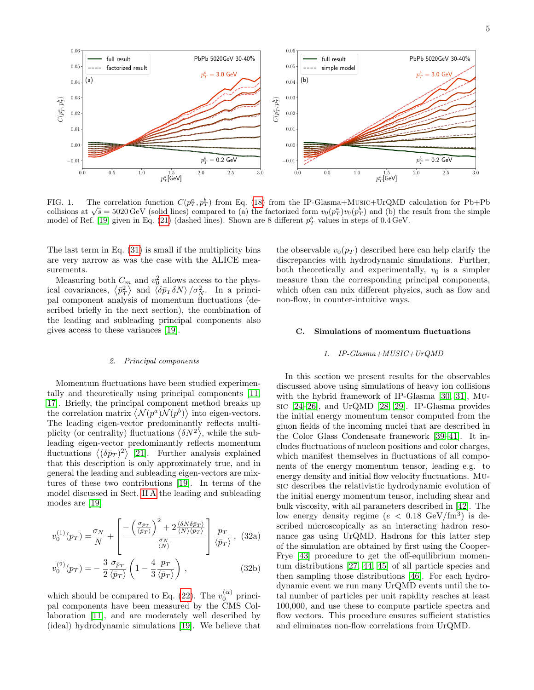

<span id="page-4-2"></span>FIG. 1. The correlation function  $C(p_T^a, p_T^b)$  from Eq. [\(18\)](#page-2-5) from the IP-Glasma+Music+UrQMD calculation for Pb+Pb FIG. 1. The correlation function  $C(p_T, p_T)$  from Eq. (18) from the IP-Glasma+MUSIC+UR(MD calculation for Fb+Fb<br>collisions at  $\sqrt{s} = 5020 \text{ GeV}$  (solid lines) compared to (a) the factorized form  $v_0(p_T^a)v_0(p_T^b)$  and (b) th model of Ref. [\[19\]](#page-12-9) given in Eq. [\(21\)](#page-3-6) (dashed lines). Shown are 8 different  $p_T^b$  values in steps of 0.4 GeV.

The last term in Eq. [\(31\)](#page-3-7) is small if the multiplicity bins are very narrow as was the case with the ALICE measurements.

Measuring both  $C_m$  and  $v_0^2$  allows access to the physical covariances,  $\langle \bar{p}_T^2 \rangle$  and  $\langle \delta \bar{p}_T \delta N \rangle / \sigma_N^2$ . In a principal component analysis of momentum fluctuations (described briefly in the next section), the combination of the leading and subleading principal components also gives access to these variances [\[19\]](#page-12-9).

### <span id="page-4-0"></span>2. Principal components

Momentum fluctuations have been studied experimentally and theoretically using principal components [\[11,](#page-12-2) [17\]](#page-12-8). Briefly, the principal component method breaks up the correlation matrix  $\langle \mathcal{N}(p^a) \mathcal{N}(p^b) \rangle$  into eigen-vectors. The leading eigen-vector predominantly reflects multiplicity (or centrality) fluctuations  $\langle \delta N^2 \rangle$ , while the subleading eigen-vector predominantly reflects momentum fluctuations  $\langle (\delta \bar{p}_T)^2 \rangle$  [\[21\]](#page-12-12). Further analysis explained that this description is only approximately true, and in general the leading and subleading eigen-vectors are mixtures of these two contributions [\[19\]](#page-12-9). In terms of the model discussed in Sect. [II A](#page-2-6) the leading and subleading modes are [\[19\]](#page-12-9)

$$
v_0^{(1)}(p_T) = \frac{\sigma_N}{N} + \left[ \frac{-\left(\frac{\sigma_{\bar{p}_T}}{\langle \bar{p}_T \rangle}\right)^2 + 2\frac{\langle \delta N \delta \bar{p}_T \rangle}{\langle N \rangle \langle \bar{p}_T \rangle}}{\frac{\sigma_N}{\langle N \rangle}} \right] \frac{p_T}{\langle \bar{p}_T \rangle}, (32a)
$$
  

$$
v_0^{(2)}(p_T) = -\frac{3}{2} \frac{\sigma_{\bar{p}_T}}{\langle \bar{p}_T \rangle} \left(1 - \frac{4}{3} \frac{p_T}{\langle \bar{p}_T \rangle}\right),
$$
 (32b)

which should be compared to Eq. [\(22\)](#page-3-8). The  $v_0^{(\alpha)}$  principal components have been measured by the CMS Collaboration [\[11\]](#page-12-2), and are moderately well described by (ideal) hydrodynamic simulations [\[19\]](#page-12-9). We believe that

the observable  $v_0(p_T)$  described here can help clarify the discrepancies with hydrodynamic simulations. Further, both theoretically and experimentally,  $v_0$  is a simpler measure than the corresponding principal components, which often can mix different physics, such as flow and non-flow, in counter-intuitive ways.

## C. Simulations of momentum fluctuations

## <span id="page-4-1"></span>1. IP-Glasma+MUSIC+UrQMD

In this section we present results for the observables discussed above using simulations of heavy ion collisions with the hybrid framework of IP-Glasma [\[30,](#page-12-19) [31\]](#page-12-20), Music [\[24](#page-12-15)[–26\]](#page-12-27), and UrQMD [\[28,](#page-12-17) [29\]](#page-12-18). IP-Glasma provides the initial energy momentum tensor computed from the gluon fields of the incoming nuclei that are described in the Color Glass Condensate framework [\[39–](#page-12-28)[41\]](#page-13-0). It includes fluctuations of nucleon positions and color charges, which manifest themselves in fluctuations of all components of the energy momentum tensor, leading e.g. to energy density and initial flow velocity fluctuations. Music describes the relativistic hydrodynamic evolution of the initial energy momentum tensor, including shear and bulk viscosity, with all parameters described in [\[42\]](#page-13-1). The low energy density regime  $(e < 0.18 \text{ GeV}/\text{fm}^3)$  is described microscopically as an interacting hadron resonance gas using UrQMD. Hadrons for this latter step of the simulation are obtained by first using the Cooper-Frye [\[43\]](#page-13-2) procedure to get the off-equilibrium momentum distributions [\[27,](#page-12-16) [44,](#page-13-3) [45\]](#page-13-4) of all particle species and then sampling those distributions [\[46\]](#page-13-5). For each hydrodynamic event we run many UrQMD events until the total number of particles per unit rapidity reaches at least 100,000, and use these to compute particle spectra and flow vectors. This procedure ensures sufficient statistics and eliminates non-flow correlations from UrQMD.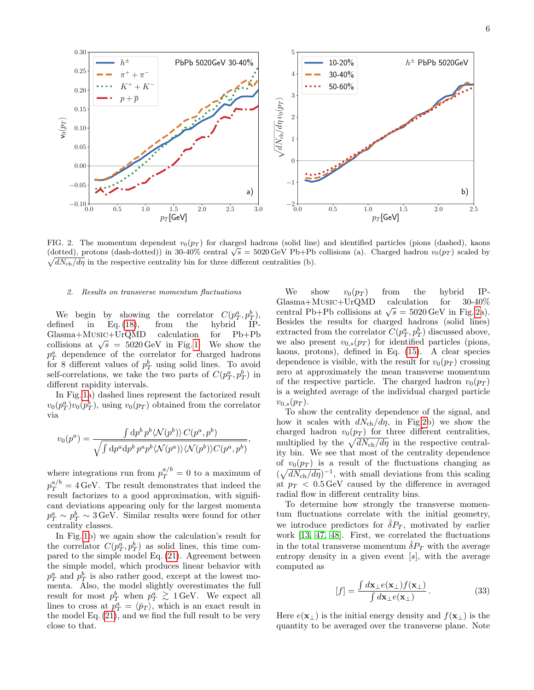0.0 0.5 1.0 1.5 2.0 2.5 3.0  $p_T$ [GeV]  $-0.10 + 0.0$  $-0.05$ 0.00 0.05 0.10 0.15 0.20 0.25 0.30  $\mathsf{v}_0(p_T)$ PbPb 5020GeV 30-40 a) h ±  $\pi^+$  $+ \pi$ −  $+ K$  $+\overline{p}$ 0.0 0.5 1.0 1.5 2.0 2.5  $p_T$ [GeV]  $-2 +$ <br>0.0 −1  $\theta$ 1 2 3 4  $5<sub>1</sub>$  $\sqrt{dN_\text{ch}/d\eta}\, v_0$  $0(p_T)$  $h^\pm$  PbPb 5020GeV  $\parallel$ b) 10-20% 30-40% 50-60%

<span id="page-5-0"></span>FIG. 2. The momentum dependent  $v_0(p_T)$  for charged hadrons (solid line) and identified particles (pions (dashed), kaons FIG. 2. The momentum dependent  $v_0(p_T)$  for charged hadrons (solid line) and identified particles (plons (dashed), kaons (dotted), protons (dash-dotted)) in 30-40% central  $\sqrt{s} = 5020 \,\text{GeV}$  Pb+Pb collisions (a). Charged  $\sqrt{dN_{\text{ch}}/d\eta}$  in the respective centrality bin for three different centralities (b).

,

### 2. Results on transverse momentum fluctuations

We begin by showing the correlator  $C(p_T^a, p_T^b)$ , defined in Eq. [\(18\)](#page-2-5), from the hybrid IP-Glasma+Music+UrQMD calculation for Pb+Pb collisions at  $\sqrt{s} = 5020 \,\text{GeV}$  in Fig. [1.](#page-4-2) We show the  $p_T^a$  dependence of the correlator for charged hadrons for 8 different values of  $p_T^b$  using solid lines. To avoid self-correlations, we take the two parts of  $C(p_T^a, p_T^b)$  in different rapidity intervals.

In Fig. [1a](#page-4-2)) dashed lines represent the factorized result  $v_0(p_T^a)v_0(p_T^b)$ , using  $v_0(p_T)$  obtained from the correlator via

$$
v_0(p^a) = \frac{\int \mathrm{d}p^b \, p^b \langle \mathcal{N}(p^b) \rangle \, C(p^a, p^b)}{\sqrt{\int \mathrm{d}p^a \mathrm{d}p^b \, p^a p^b \langle \mathcal{N}(p^a) \rangle \langle \mathcal{N}(p^b) \rangle C(p^a, p^b)}}
$$

where integrations run from  $p_T^{a/b} = 0$  to a maximum of  $p_T^{a/b} = 4 \,\text{GeV}$ . The result demonstrates that indeed the result factorizes to a good approximation, with significant deviations appearing only for the largest momenta  $p_T^a \sim p_T^b \sim 3$  GeV. Similar results were found for other centrality classes.

In Fig. [1b](#page-4-2)) we again show the calculation's result for the correlator  $C(p_T^a, p_T^b)$  as solid lines, this time compared to the simple model Eq. [\(21\)](#page-3-6). Agreement between the simple model, which produces linear behavior with  $p_T^a$  and  $p_T^b$  is also rather good, except at the lowest momenta. Also, the model slightly overestimates the full result for most  $p_T^b$  when  $p_T^a \gtrsim 1$  GeV. We expect all<br>lines to gross at  $x^a = \sqrt{5}$ , which is an expect result in lines to cross at  $p_T^a = \langle \bar{p}_T \rangle$ , which is an exact result in the model Eq. [\(21\)](#page-3-6), and we find the full result to be very close to that.

We show  $v_0(p_T)$  from the hybrid IP-<br>lasma+MUSIC+UrQMD calculation for 30-40%  $Glasma+MUSIC+UrQMD$ central Pb+Pb collisions at  $\sqrt{s} = 5020 \,\text{GeV}$  in Fig. [2a](#page-5-0)). Besides the results for charged hadrons (solid lines) extracted from the correlator  $C(p_T^a, p_T^b)$  discussed above, we also present  $v_{0,s}(p_T)$  for identified particles (pions, kaons, protons), defined in Eq. [\(15\)](#page-2-7). A clear species dependence is visible, with the result for  $v_0(p_T)$  crossing zero at approximately the mean transverse momentum of the respective particle. The charged hadron  $v_0(p_T)$ is a weighted average of the individual charged particle  $v_{0,s}(p_T)$ .

To show the centrality dependence of the signal, and how it scales with  $dN_{ch}/d\eta$ , in Fig[.2b](#page-5-0)) we show the charged hadron  $v_0(p_T)$  for three different centralities, multiplied by the  $\sqrt{dN_{\text{ch}}/d\eta}$  in the respective centrality bin. We see that most of the centrality dependence of  $v_0(p_T)$  is a result of the fluctuations changing as  $(\sqrt{dN_{\rm ch}/d\eta})^{-1}$ , with small deviations from this scaling at  $p_T < 0.5 \,\text{GeV}$  caused by the difference in averaged radial flow in different centrality bins.

To determine how strongly the transverse momentum fluctuations correlate with the initial geometry, we introduce predictors for  $\delta P_T$ , motivated by earlier work [\[13,](#page-12-4) [47,](#page-13-6) [48\]](#page-13-7). First, we correlated the fluctuations in the total transverse momentum  $\hat{\delta}P_T$  with the average entropy density in a given event  $[s]$ , with the average computed as

$$
[f] = \frac{\int d\mathbf{x}_{\perp} e(\mathbf{x}_{\perp}) f(\mathbf{x}_{\perp})}{\int d\mathbf{x}_{\perp} e(\mathbf{x}_{\perp})}.
$$
 (33)

Here  $e(\mathbf{x}_\perp)$  is the initial energy density and  $f(\mathbf{x}_\perp)$  is the quantity to be averaged over the transverse plane. Note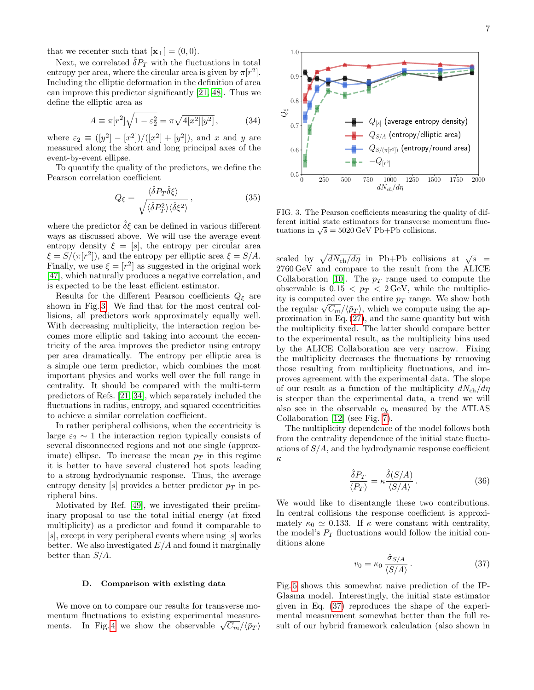that we recenter such that  $[\mathbf{x}_{\perp}] = (0, 0)$ .

Next, we correlated  $\hat{\delta}P_T$  with the fluctuations in total entropy per area, where the circular area is given by  $\pi[r^2]$ . Including the elliptic deformation in the definition of area can improve this predictor significantly [\[21,](#page-12-12) [48\]](#page-13-7). Thus we define the elliptic area as

$$
A \equiv \pi[r^2] \sqrt{1 - \varepsilon_2^2} = \pi \sqrt{4[x^2][y^2]}, \quad (34)
$$

where  $\varepsilon_2 \equiv (y^2 - [x^2] ) / ([x^2] + [y^2])$ , and x and y are measured along the short and long principal axes of the event-by-event ellipse.

To quantify the quality of the predictors, we define the Pearson correlation coefficient

$$
Q_{\xi} = \frac{\langle \hat{\delta} P_T \hat{\delta} \xi \rangle}{\sqrt{\langle \hat{\delta} P_T^2 \rangle \langle \hat{\delta} \xi^2 \rangle}},
$$
(35)

where the predictor  $\hat{\delta} \xi$  can be defined in various different ways as discussed above. We will use the average event entropy density  $\xi = [s]$ , the entropy per circular area  $\xi = S/(\pi[r^2])$ , and the entropy per elliptic area  $\xi = S/A$ . Finally, we use  $\xi = [r^2]$  as suggested in the original work [\[47\]](#page-13-6), which naturally produces a negative correlation, and is expected to be the least efficient estimator.

Results for the different Pearson coefficients  $Q_{\xi}$  are shown in Fig. [3.](#page-6-1) We find that for the most central collisions, all predictors work approximately equally well. With decreasing multiplicity, the interaction region becomes more elliptic and taking into account the eccentricity of the area improves the predictor using entropy per area dramatically. The entropy per elliptic area is a simple one term predictor, which combines the most important physics and works well over the full range in centrality. It should be compared with the multi-term predictors of Refs. [\[21,](#page-12-12) [34\]](#page-12-23), which separately included the fluctuations in radius, entropy, and squared eccentricities to achieve a similar correlation coefficient.

In rather peripheral collisions, when the eccentricity is large  $\varepsilon_2 \sim 1$  the interaction region typically consists of several disconnected regions and not one single (approximate) ellipse. To increase the mean  $p<sub>T</sub>$  in this regime it is better to have several clustered hot spots leading to a strong hydrodynamic response. Thus, the average entropy density [s] provides a better predictor  $p_T$  in peripheral bins.

Motivated by Ref. [\[49\]](#page-13-8), we investigated their preliminary proposal to use the total initial energy (at fixed multiplicity) as a predictor and found it comparable to  $[s]$ , except in very peripheral events where using  $[s]$  works better. We also investigated  $E/A$  and found it marginally better than  $S/A$ .

### <span id="page-6-0"></span>D. Comparison with existing data

We move on to compare our results for transverse momentum fluctuations to existing experimental measure-ments. In Fig. [4](#page-7-0) we show the observable  $\sqrt{C_m}/\sqrt{p_T}$ 





1.0

<span id="page-6-1"></span>FIG. 3. The Pearson coefficients measuring the quality of different initial state estimators for transverse momentum flucerent initial state estimators for transverse in<br>tuations in  $\sqrt{s} = 5020 \,\mathrm{GeV}$  Pb+Pb collisions.

scaled by  $\sqrt{dN_{\rm ch}/d\eta}$  in Pb+Pb collisions at  $\sqrt{s}$  = 2760 GeV and compare to the result from the ALICE Collaboration [\[10\]](#page-12-1). The  $p_T$  range used to compute the observable is  $0.15 < p_T < 2 \,\text{GeV}$ , while the multiplicity is computed over the entire  $p_T$  range. We show both the regular  $\sqrt{C_m}/\langle \bar{p}_T \rangle$ , which we compute using the approximation in Eq. [\(27\)](#page-3-9), and the same quantity but with the multiplicity fixed. The latter should compare better to the experimental result, as the multiplicity bins used by the ALICE Collaboration are very narrow. Fixing the multiplicity decreases the fluctuations by removing those resulting from multiplicity fluctuations, and improves agreement with the experimental data. The slope of our result as a function of the multiplicity  $dN_{\rm ch}/d\eta$ is steeper than the experimental data, a trend we will also see in the observable  $c_k$  measured by the ATLAS Collaboration [\[12\]](#page-12-3) (see Fig. [7\)](#page-8-1).

The multiplicity dependence of the model follows both from the centrality dependence of the initial state fluctuations of  $S/A$ , and the hydrodynamic response coefficient κ

$$
\frac{\hat{\delta}P_T}{\langle P_T \rangle} = \kappa \frac{\hat{\delta}(S/A)}{\langle S/A \rangle} \,. \tag{36}
$$

We would like to disentangle these two contributions. In central collisions the response coefficient is approximately  $\kappa_0 \simeq 0.133$ . If  $\kappa$  were constant with centrality, the model's  $P_T$  fluctuations would follow the initial conditions alone

<span id="page-6-2"></span>
$$
v_0 = \kappa_0 \frac{\hat{\sigma}_{S/A}}{\langle S/A \rangle} \,. \tag{37}
$$

Fig. [5](#page-7-1) shows this somewhat naive prediction of the IP-Glasma model. Interestingly, the initial state estimator given in Eq. [\(37\)](#page-6-2) reproduces the shape of the experimental measurement somewhat better than the full result of our hybrid framework calculation (also shown in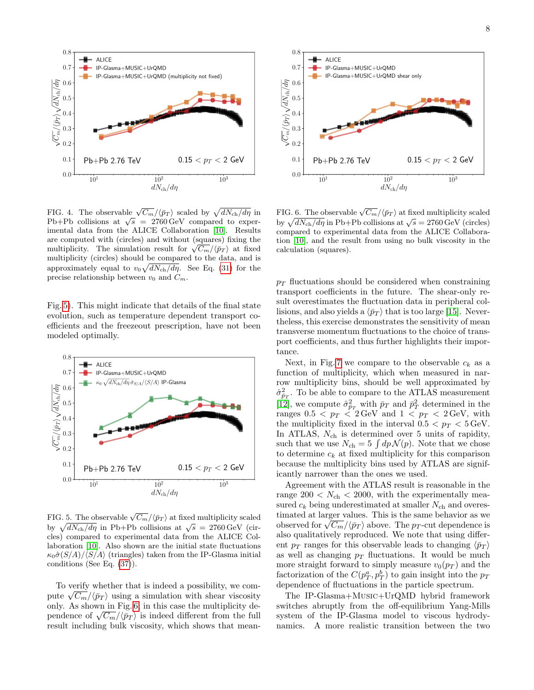

<span id="page-7-0"></span>FIG. 4. The observable  $\sqrt{C_m}/\langle \bar{p}_T \rangle$  scaled by  $\sqrt{dN_{\text{ch}}/d\eta}$  in **PIG.** 4. The observable  $\sqrt{C_m}/(p_T)$  scaled by  $\sqrt{a_1v_{ch}}/a\eta$  in<br>Pb+Pb collisions at  $\sqrt{s} = 2760 \text{ GeV}$  compared to experimental data from the ALICE Collaboration [\[10\]](#page-12-1). Results are computed with (circles) and without (squares) fixing the are computed with (circles) and without (squares) fixing the multiplicity. The simulation result for  $\sqrt{C_m}/\langle \bar{p}_T \rangle$  at fixed multiplicity (circles) should be compared to the data, and is approximately equal to  $v_0\sqrt{dN_{\rm ch}/d\eta}$ . See Eq. [\(31\)](#page-3-7) for the precise relationship between  $v_0$  and  $C_m$ .

Fig. [5\)](#page-7-1). This might indicate that details of the final state evolution, such as temperature dependent transport coefficients and the freezeout prescription, have not been modeled optimally.



<span id="page-7-1"></span>FIG. 5. The observable  $\sqrt{C_m}/\langle \bar{p}_T \rangle$  at fixed multiplicity scaled by  $\sqrt{dN_{\text{ch}}/d\eta}$  in Pb+Pb collisions at  $\sqrt{s} = 2760 \text{ GeV}$  (circles) compared to experimental data from the ALICE Collaboration [\[10\]](#page-12-1). Also shown are the initial state fluctuations  $\kappa_0 \hat{\sigma}(S/A)/\langle S/A \rangle$  (triangles) taken from the IP-Glasma initial conditions (See Eq. [\(37\)](#page-6-2)).

To verify whether that is indeed a possibility, we compute  $\sqrt{C_m}/\langle \bar{p}_T \rangle$  using a simulation with shear viscosity only. As shown in Fig. [6,](#page-7-2) in this case the multiplicity dependence of  $\sqrt{C_m}/\langle \bar{p}_T \rangle$  is indeed different from the full result including bulk viscosity, which shows that mean-



<span id="page-7-2"></span>FIG. 6. The observable  $\sqrt{C_m}/\langle \bar{p}_T \rangle$  at fixed multiplicity scaled by  $\sqrt{dN_{\text{ch}}/d\eta}$  in Pb+Pb collisions at  $\sqrt{s} = 2760 \text{ GeV}$  (circles) compared to experimental data from the ALICE Collaboration [\[10\]](#page-12-1), and the result from using no bulk viscosity in the calculation (squares).

 $p_T$  fluctuations should be considered when constraining transport coefficients in the future. The shear-only result overestimates the fluctuation data in peripheral collisions, and also yields a  $\langle \bar{p}_T \rangle$  that is too large [\[15\]](#page-12-6). Nevertheless, this exercise demonstrates the sensitivity of mean transverse momentum fluctuations to the choice of transport coefficients, and thus further highlights their importance.

Next, in Fig. [7](#page-8-1) we compare to the observable  $c_k$  as a function of multiplicity, which when measured in narrow multiplicity bins, should be well approximated by  $\hat{\sigma}_{\bar{p}_T}^2$ . To be able to compare to the ATLAS measurement [\[12\]](#page-12-3), we compute  $\hat{\sigma}_{\bar{p}_T}^2$  with  $\bar{p}_T$  and  $\bar{p}_T^2$  determined in the ranges  $0.5 < p_T < 2 \,\text{GeV}$  and  $1 < p_T < 2 \,\text{GeV}$ , with the multiplicity fixed in the interval  $0.5 < p_T < 5 \,\text{GeV}$ . In ATLAS,  $N_{ch}$  is determined over 5 units of rapidity, such that we use  $N_{ch} = 5 \int dp \mathcal{N}(p)$ . Note that we chose to determine  $c_k$  at fixed multiplicity for this comparison because the multiplicity bins used by ATLAS are significantly narrower than the ones we used.

Agreement with the ATLAS result is reasonable in the range  $200 < N_{\text{ch}} < 2000$ , with the experimentally measured  $c_k$  being underestimated at smaller  $N_{ch}$  and overestimated at larger values. This is the same behavior as we observed for  $\sqrt{C_m}/\sqrt{p_T}$  above. The p<sub>T</sub>-cut dependence is also qualitatively reproduced. We note that using different  $p_T$  ranges for this observable leads to changing  $\langle \bar{p}_T \rangle$ as well as changing  $p_T$  fluctuations. It would be much more straight forward to simply measure  $v_0(p_T)$  and the factorization of the  $C(p_T^a, p_T^b)$  to gain insight into the  $p_T$ dependence of fluctuations in the particle spectrum.

The IP-Glasma+Music+UrQMD hybrid framework switches abruptly from the off-equilibrium Yang-Mills system of the IP-Glasma model to viscous hydrodynamics. A more realistic transition between the two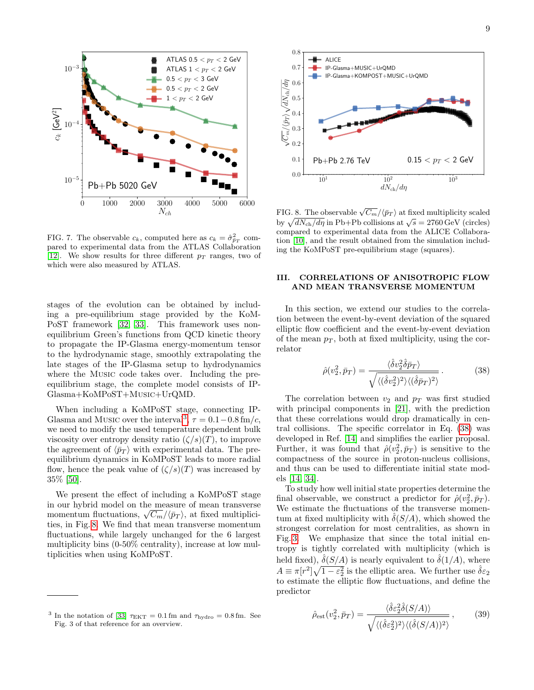

<span id="page-8-1"></span>FIG. 7. The observable  $c_k$ , computed here as  $c_k = \hat{\sigma}_{\bar{p}_T}^2$  compared to experimental data from the ATLAS Collaboration [\[12\]](#page-12-3). We show results for three different  $p_T$  ranges, two of which were also measured by ATLAS.

stages of the evolution can be obtained by including a pre-equilibrium stage provided by the KoM-PoST framework [\[32,](#page-12-21) [33\]](#page-12-22). This framework uses nonequilibrium Green's functions from QCD kinetic theory to propagate the IP-Glasma energy-momentum tensor to the hydrodynamic stage, smoothly extrapolating the late stages of the IP-Glasma setup to hydrodynamics where the Music code takes over. Including the preequilibrium stage, the complete model consists of IP-Glasma+KoMPoST+Music+UrQMD.

When including a KoMPoST stage, connecting IP-Glasma and Music over the interval<sup>[3](#page-8-2)</sup>,  $\tau = 0.1 - 0.8$  fm/c, we need to modify the used temperature dependent bulk viscosity over entropy density ratio  $(\zeta/s)(T)$ , to improve the agreement of  $\langle \bar{p}_T \rangle$  with experimental data. The preequilibrium dynamics in KoMPoST leads to more radial flow, hence the peak value of  $(\zeta/s)(T)$  was increased by 35% [\[50\]](#page-13-9).

We present the effect of including a KoMPoST stage in our hybrid model on the measure of mean transverse m our *hybrid* model on the *measure* of mean erain verses momentum fluctuations,  $\sqrt{C_m}/\langle \bar{p}_T \rangle$ , at fixed multiplicities, in Fig. [8.](#page-8-3) We find that mean transverse momentum fluctuations, while largely unchanged for the 6 largest multiplicity bins (0-50% centrality), increase at low multiplicities when using KoMPoST.



<span id="page-8-3"></span>FIG. 8. The observable  $\sqrt{C_m}/\langle \bar{p}_T \rangle$  at fixed multiplicity scaled by  $\sqrt{dN_{\text{ch}}/d\eta}$  in Pb+Pb collisions at  $\sqrt{s} = 2760 \text{ GeV}$  (circles) compared to experimental data from the ALICE Collaboration [\[10\]](#page-12-1), and the result obtained from the simulation including the KoMPoST pre-equilibrium stage (squares).

## <span id="page-8-0"></span>III. CORRELATIONS OF ANISOTROPIC FLOW AND MEAN TRANSVERSE MOMENTUM

In this section, we extend our studies to the correlation between the event-by-event deviation of the squared elliptic flow coefficient and the event-by-event deviation of the mean  $p<sub>T</sub>$ , both at fixed multiplicity, using the correlator

<span id="page-8-4"></span>
$$
\hat{\rho}(v_2^2, \bar{p}_T) = \frac{\langle \hat{\delta}v_2^2 \hat{\delta} \bar{p}_T \rangle}{\sqrt{\langle (\hat{\delta}v_2^2)^2 \rangle \langle (\hat{\delta} \bar{p}_T)^2 \rangle}}.
$$
(38)

The correlation between  $v_2$  and  $p_T$  was first studied with principal components in [\[21\]](#page-12-12), with the prediction that these correlations would drop dramatically in central collisions. The specific correlator in Eq. [\(38\)](#page-8-4) was developed in Ref. [\[14\]](#page-12-5) and simplifies the earlier proposal. Further, it was found that  $\hat{\rho}(v_2^2, \bar{p}_T)$  is sensitive to the compactness of the source in proton-nucleus collisions, and thus can be used to differentiate initial state models [\[14,](#page-12-5) [34\]](#page-12-23).

To study how well initial state properties determine the final observable, we construct a predictor for  $\hat{\rho}(v_2^2, \bar{p}_T)$ . We estimate the fluctuations of the transverse momentum at fixed multiplicity with  $\delta(S/A)$ , which showed the strongest correlation for most centralities, as shown in Fig. [3.](#page-6-1) We emphasize that since the total initial entropy is tightly correlated with multiplicity (which is held fixed),  $\hat{\delta}(S/A)$  is nearly equivalent to  $\hat{\delta}(1/A)$ , where  $A \equiv \pi[r^2]\sqrt{1-\varepsilon_2^2}$  is the elliptic area. We further use  $\hat{\delta}\varepsilon_2$ to estimate the elliptic flow fluctuations, and define the predictor

$$
\hat{\rho}_{\text{est}}(v_2^2, \bar{p}_T) = \frac{\langle \hat{\delta} \varepsilon_2^2 \hat{\delta}(S/A) \rangle}{\sqrt{\langle (\hat{\delta} \varepsilon_2^2)^2 \rangle \langle (\hat{\delta}(S/A))^2 \rangle}},\tag{39}
$$

<span id="page-8-2"></span><sup>&</sup>lt;sup>3</sup> In the notation of [\[33\]](#page-12-22)  $\tau_{\text{EKT}} = 0.1 \,\text{fm}$  and  $\tau_{\text{hydro}} = 0.8 \,\text{fm}$ . See Fig. 3 of that reference for an overview.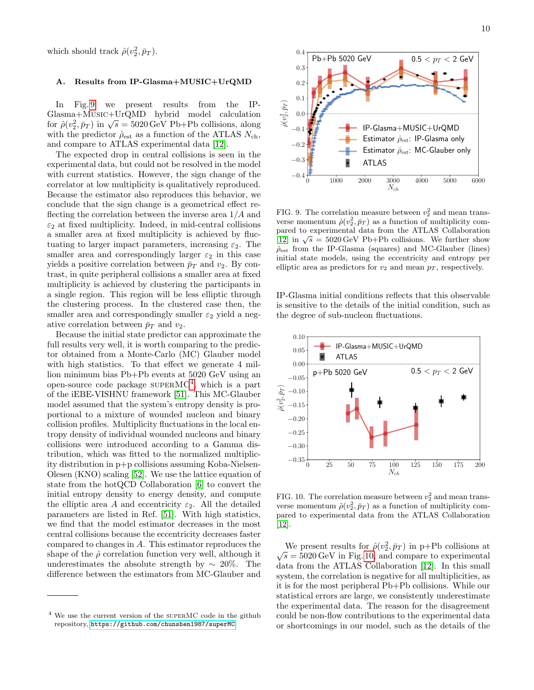which should track  $\hat{\rho}(v_2^2, \bar{p}_T)$ .

## A. Results from IP-Glasma+MUSIC+UrQMD

In Fig. [9](#page-9-0) we present results from the IP-Glasma+Music+UrQMD hybrid model calculation for  $\hat{\rho}(v_2^2, \bar{p}_T)$  in  $\sqrt{s} = 5020 \,\text{GeV}$  Pb+Pb collisions, along with the predictor  $\rho_{est}$  as a function of the ATLAS  $N_{ch}$ , and compare to ATLAS experimental data [\[12\]](#page-12-3).

The expected drop in central collisions is seen in the experimental data, but could not be resolved in the model with current statistics. However, the sign change of the correlator at low multiplicity is qualitatively reproduced. Because the estimator also reproduces this behavior, we conclude that the sign change is a geometrical effect reflecting the correlation between the inverse area  $1/A$  and  $\varepsilon_2$  at fixed multiplicity. Indeed, in mid-central collisions a smaller area at fixed multiplicity is achieved by fluctuating to larger impact parameters, increasing  $\varepsilon_2$ . The smaller area and correspondingly larger  $\varepsilon_2$  in this case yields a positive correlation between  $\bar{p}_T$  and  $v_2$ . By contrast, in quite peripheral collisions a smaller area at fixed multiplicity is achieved by clustering the participants in a single region. This region will be less elliptic through the clustering process. In the clustered case then, the smaller area and correspondingly smaller  $\varepsilon_2$  yield a negative correlation between  $\bar{p}_T$  and  $v_2$ .

Because the initial state predictor can approximate the full results very well, it is worth comparing to the predictor obtained from a Monte-Carlo (MC) Glauber model with high statistics. To that effect we generate 4 million minimum bias Pb+Pb events at 5020 GeV using an open-source code package  $\text{supERMC}^4$  $\text{supERMC}^4$ , which is a part of the iEBE-VISHNU framework [\[51\]](#page-13-10). This MC-Glauber model assumed that the system's entropy density is proportional to a mixture of wounded nucleon and binary collision profiles. Multiplicity fluctuations in the local entropy density of individual wounded nucleons and binary collisions were introduced according to a Gamma distribution, which was fitted to the normalized multiplicity distribution in p+p collisions assuming Koba-Nielsen-Olesen (KNO) scaling [\[52\]](#page-13-11). We use the lattice equation of state from the hotQCD Collaboration [\[6\]](#page-11-2) to convert the initial entropy density to energy density, and compute the elliptic area A and eccentricity  $\varepsilon_2$ . All the detailed parameters are listed in Ref. [\[51\]](#page-13-10). With high statistics, we find that the model estimator decreases in the most central collisions because the eccentricity decreases faster compared to changes in A. This estimator reproduces the shape of the  $\hat{\rho}$  correlation function very well, although it underestimates the absolute strength by  $\sim 20\%$ . The difference between the estimators from MC-Glauber and



<span id="page-9-0"></span>FIG. 9. The correlation measure between  $v_2^2$  and mean transverse momentum  $\hat{\rho}(v_2^2, \bar{p}_T)$  as a function of multiplicity compared to experimental data from the ATLAS Collaboration pared to experimental data from the ATLAS Conditional<br>[\[12\]](#page-12-3) in  $\sqrt{s} = 5020 \,\text{GeV}$  Pb+Pb collisions. We further show  $\hat{\rho}_{est}$  from the IP-Glasma (squares) and MC-Glauber (lines) initial state models, using the eccentricity and entropy per elliptic area as predictors for  $v_2$  and mean  $p_T$ , respectively.

IP-Glasma initial conditions reflects that this observable is sensitive to the details of the initial condition, such as the degree of sub-nucleon fluctuations.



<span id="page-9-2"></span>FIG. 10. The correlation measure between  $v_2^2$  and mean transverse momentum  $\hat{\rho}(v_2^2, \bar{p}_T)$  as a function of multiplicity compared to experimental data from the ATLAS Collaboration [\[12\]](#page-12-3).

We present results for  $\hat{\rho}(v_2^2, \bar{p}_T)$  in p+Pb collisions at  $\sqrt{s} = 5020 \,\text{GeV}$  in Fig. [10,](#page-9-2) and compare to experimental data from the ATLAS Collaboration [\[12\]](#page-12-3). In this small system, the correlation is negative for all multiplicities, as it is for the most peripheral Pb+Pb collisions. While our statistical errors are large, we consistently underestimate the experimental data. The reason for the disagreement could be non-flow contributions to the experimental data or shortcomings in our model, such as the details of the

<span id="page-9-1"></span><sup>4</sup> We use the current version of the superMC code in the github repository, <https://github.com/chunshen1987/superMC>.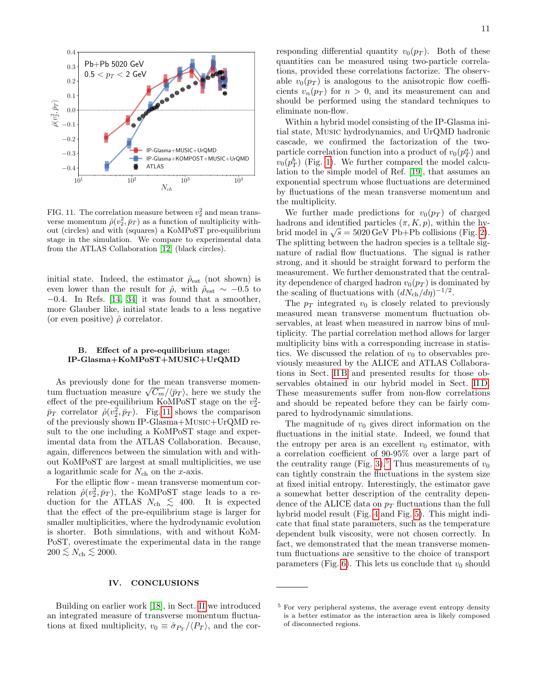

<span id="page-10-1"></span>FIG. 11. The correlation measure between  $v_2^2$  and mean transverse momentum  $\hat{\rho}(v_2^2, \bar{p}_T)$  as a function of multiplicity without (circles) and with (squares) a KoMPoST pre-equilibrium stage in the simulation. We compare to experimental data from the ATLAS Collaboration [\[12\]](#page-12-3) (black circles).

initial state. Indeed, the estimator  $\rho_{est}$  (not shown) is even lower than the result for  $\hat{\rho}$ , with  $\hat{\rho}_{est} \sim -0.5$  to  $-0.4$ . In Refs. [\[14,](#page-12-5) [34\]](#page-12-23) it was found that a smoother, more Glauber like, initial state leads to a less negative (or even positive)  $\hat{\rho}$  correlator.

# B. Effect of a pre-equilibrium stage: IP-Glasma+KoMPoST+MUSIC+UrQMD

As previously done for the mean transverse momentum fluctuation measure  $\sqrt{C_m}/\langle \bar{p}_T \rangle$ , here we study the effect of the pre-equilibrium KoMPoST stage on the  $v_2^2$ - $\bar{p}_T$  correlator  $\hat{\rho}(v_2^2, \bar{p}_T)$ . Fig. [11](#page-10-1) shows the comparison of the previously shown IP-Glasma+Music+UrQMD result to the one including a KoMPoST stage and experimental data from the ATLAS Collaboration. Because, again, differences between the simulation with and without KoMPoST are largest at small multiplicities, we use a logarithmic scale for  $N_{ch}$  on the x-axis.

For the elliptic flow - mean transverse momentum correlation  $\hat{\rho}(v_2^2, \bar{p}_T)$ , the KoMPoST stage leads to a reduction for the ATLAS  $N_{ch} \leq 400$ . It is expected that the effect of the pre-equilibrium stage is larger for smaller multiplicities, where the hydrodynamic evolution is shorter. Both simulations, with and without KoM-PoST, overestimate the experimental data in the range  $200 \lesssim N_{\text{ch}} \lesssim 2000.$ 

### <span id="page-10-0"></span>IV. CONCLUSIONS

Building on earlier work [\[18\]](#page-12-10), in Sect. [II](#page-1-1) we introduced an integrated measure of transverse momentum fluctuations at fixed multiplicity,  $v_0 \equiv \hat{\sigma}_{P_T}/\langle P_T \rangle$ , and the corresponding differential quantity  $v_0(p_T)$ . Both of these quantities can be measured using two-particle correlations, provided these correlations factorize. The observable  $v_0(p_T)$  is analogous to the anisotropic flow coefficients  $v_n(p_T)$  for  $n > 0$ , and its measurement can and should be performed using the standard techniques to eliminate non-flow.

Within a hybrid model consisting of the IP-Glasma initial state, Music hydrodynamics, and UrQMD hadronic cascade, we confirmed the factorization of the twoparticle correlation function into a product of  $v_0(p_T^a)$  and  $v_0(p_T^b)$  (Fig. [1\)](#page-4-2). We further compared the model calculation to the simple model of Ref. [\[19\]](#page-12-9), that assumes an exponential spectrum whose fluctuations are determined by fluctuations of the mean transverse momentum and the multiplicity.

We further made predictions for  $v_0(p_T)$  of charged hadrons and identified particles  $(\pi, K, p)$ , within the hybrid model in  $\sqrt{s} = 5020 \,\text{GeV}$  Pb+Pb collisions (Fig. [2\)](#page-5-0). The splitting between the hadron species is a telltale signature of radial flow fluctuations. The signal is rather strong, and it should be straight forward to perform the measurement. We further demonstrated that the centrality dependence of charged hadron  $v_0(p_T)$  is dominated by the scaling of fluctuations with  $(dN_{\rm ch}/d\eta)^{-1/2}$ .

The  $p_T$  integrated  $v_0$  is closely related to previously measured mean transverse momentum fluctuation observables, at least when measured in narrow bins of multiplicity. The partial correlation method allows for larger multiplicity bins with a corresponding increase in statistics. We discussed the relation of  $v_0$  to observables previously measured by the ALICE and ATLAS Collaborations in Sect. [II B](#page-3-10) and presented results for those observables obtained in our hybrid model in Sect. [II D.](#page-6-0) These measurements suffer from non-flow correlations and should be repeated before they can be fairly compared to hydrodynamic simulations.

The magnitude of  $v_0$  gives direct information on the fluctuations in the initial state. Indeed, we found that the entropy per area is an excellent  $v_0$  estimator, with a correlation coefficient of 90-95% over a large part of the centrality range (Fig. [3\)](#page-6-1).<sup>[5](#page-10-2)</sup> Thus measurements of  $v_0$ can tightly constrain the fluctuations in the system size at fixed initial entropy. Interestingly, the estimator gave a somewhat better description of the centrality dependence of the ALICE data on  $p_T$  fluctuations than the full hybrid model result (Fig. [4](#page-7-0) and Fig. [5\)](#page-7-1). This might indicate that final state parameters, such as the temperature dependent bulk viscosity, were not chosen correctly. In fact, we demonstrated that the mean transverse momentum fluctuations are sensitive to the choice of transport parameters (Fig. [6\)](#page-7-2). This lets us conclude that  $v_0$  should

<span id="page-10-2"></span><sup>5</sup> For very peripheral systems, the average event entropy density is a better estimator as the interaction area is likely composed of disconnected regions.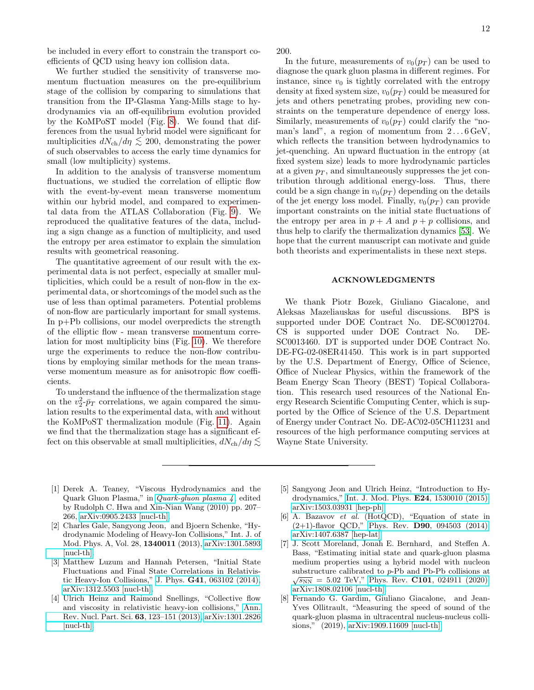be included in every effort to constrain the transport coefficients of QCD using heavy ion collision data.

We further studied the sensitivity of transverse momentum fluctuation measures on the pre-equilibrium stage of the collision by comparing to simulations that transition from the IP-Glasma Yang-Mills stage to hydrodynamics via an off-equilibrium evolution provided by the KoMPoST model (Fig. [8\)](#page-8-3). We found that differences from the usual hybrid model were significant for multiplicities  $dN_{\text{ch}}/d\eta \lesssim 200$ , demonstrating the power of such observables to access the early time dynamics for small (low multiplicity) systems.

In addition to the analysis of transverse momentum fluctuations, we studied the correlation of elliptic flow with the event-by-event mean transverse momentum within our hybrid model, and compared to experimental data from the ATLAS Collaboration (Fig. [9\)](#page-9-0). We reproduced the qualitative features of the data, including a sign change as a function of multiplicity, and used the entropy per area estimator to explain the simulation results with geometrical reasoning.

The quantitative agreement of our result with the experimental data is not perfect, especially at smaller multiplicities, which could be a result of non-flow in the experimental data, or shortcomings of the model such as the use of less than optimal parameters. Potential problems of non-flow are particularly important for small systems. In p+Pb collisions, our model overpredicts the strength of the elliptic flow - mean transverse momentum correlation for most multiplicity bins (Fig. [10\)](#page-9-2). We therefore urge the experiments to reduce the non-flow contributions by employing similar methods for the mean transverse momentum measure as for anisotropic flow coefficients.

To understand the influence of the thermalization stage on the  $v_2^2$ - $\bar{p}_T$  correlations, we again compared the simulation results to the experimental data, with and without the KoMPoST thermalization module (Fig. [11\)](#page-10-1). Again we find that the thermalization stage has a significant effect on this observable at small multiplicities,  $dN_{\rm ch}/d\eta \lesssim$  200.

In the future, measurements of  $v_0(p_T)$  can be used to diagnose the quark gluon plasma in different regimes. For instance, since  $v_0$  is tightly correlated with the entropy density at fixed system size,  $v_0(p_T)$  could be measured for jets and others penetrating probes, providing new constraints on the temperature dependence of energy loss. Similarly, measurements of  $v_0(p_T)$  could clarify the "noman's land", a region of momentum from  $2 \dots 6 \text{ GeV}$ , which reflects the transition between hydrodynamics to jet-quenching. An upward fluctuation in the entropy (at fixed system size) leads to more hydrodynamic particles at a given  $p<sub>T</sub>$ , and simultaneously suppresses the jet contribution through additional energy-loss. Thus, there could be a sign change in  $v_0(p_T)$  depending on the details of the jet energy loss model. Finally,  $v_0(p_T)$  can provide important constraints on the initial state fluctuations of the entropy per area in  $p + A$  and  $p + p$  collisions, and thus help to clarify the thermalization dynamics [\[53\]](#page-13-12). We hope that the current manuscript can motivate and guide both theorists and experimentalists in these next steps.

### ACKNOWLEDGMENTS

We thank Piotr Bozek, Giuliano Giacalone, and Aleksas Mazeliauskas for useful discussions. BPS is supported under DOE Contract No. DE-SC0012704. CS is supported under DOE Contract No. DE-SC0013460. DT is supported under DOE Contract No. DE-FG-02-08ER41450. This work is in part supported by the U.S. Department of Energy, Office of Science, Office of Nuclear Physics, within the framework of the Beam Energy Scan Theory (BEST) Topical Collaboration. This research used resources of the National Energy Research Scientific Computing Center, which is supported by the Office of Science of the U.S. Department of Energy under Contract No. DE-AC02-05CH11231 and resources of the high performance computing services at Wayne State University.

- <span id="page-11-0"></span>[1] Derek A. Teaney, "Viscous Hydrodynamics and the Quark Gluon Plasma," in [Quark-gluon plasma 4](http://dx.doi.org/ 10.1142/9789814293297_0004) , edited by Rudolph C. Hwa and Xin-Nian Wang (2010) pp. 207– 266, [arXiv:0905.2433 \[nucl-th\].](http://arxiv.org/abs/0905.2433)
- [2] Charles Gale, Sangyong Jeon, and Bjoern Schenke, "Hydrodynamic Modeling of Heavy-Ion Collisions," Int. J. of Mod. Phys. A, Vol. 28, 1340011 (2013), [arXiv:1301.5893](http://arxiv.org/abs/1301.5893) [\[nucl-th\].](http://arxiv.org/abs/1301.5893)
- <span id="page-11-4"></span>[3] Matthew Luzum and Hannah Petersen, "Initial State Fluctuations and Final State Correlations in Relativistic Heavy-Ion Collisions," J. Phys. G41[, 063102 \(2014\),](http://dx.doi.org/10.1088/0954-3899/41/6/063102) [arXiv:1312.5503 \[nucl-th\].](http://arxiv.org/abs/1312.5503)
- <span id="page-11-5"></span>[4] Ulrich Heinz and Raimond Snellings, "Collective flow and viscosity in relativistic heavy-ion collisions," [Ann.](http://dx.doi.org/ 10.1146/annurev-nucl-102212-170540) [Rev. Nucl. Part. Sci.](http://dx.doi.org/ 10.1146/annurev-nucl-102212-170540) 63, 123–151 (2013), [arXiv:1301.2826](http://arxiv.org/abs/1301.2826) [\[nucl-th\].](http://arxiv.org/abs/1301.2826)
- <span id="page-11-1"></span>[5] Sangyong Jeon and Ulrich Heinz, "Introduction to Hydrodynamics," [Int. J. Mod. Phys.](http://dx.doi.org/ 10.1142/S0218301315300106) E24, 1530010 (2015), [arXiv:1503.03931 \[hep-ph\].](http://arxiv.org/abs/1503.03931)
- <span id="page-11-2"></span>[6] A. Bazavov et al. (HotQCD), "Equation of state in  $(2+1)$ -flavor QCD," Phys. Rev. **D90**[, 094503 \(2014\),](http://dx.doi.org/10.1103/PhysRevD.90.094503) [arXiv:1407.6387 \[hep-lat\].](http://arxiv.org/abs/1407.6387)
- [7] J. Scott Moreland, Jonah E. Bernhard, and Steffen A. Bass, "Estimating initial state and quark-gluon plasma medium properties using a hybrid model with nucleon substructure calibrated to p-Pb and Pb-Pb collisions at  $\sqrt{s_{NN}}$  = 5.02 TeV," Phys. Rev. C101[, 024911 \(2020\),](http://dx.doi.org/ 10.1103/PhysRevC.101.024911) [arXiv:1808.02106 \[nucl-th\].](http://arxiv.org/abs/1808.02106)
- <span id="page-11-3"></span>[8] Fernando G. Gardim, Giuliano Giacalone, and Jean-Yves Ollitrault, "Measuring the speed of sound of the quark-gluon plasma in ultracentral nucleus-nucleus collisions," (2019), [arXiv:1909.11609 \[nucl-th\].](http://arxiv.org/abs/1909.11609)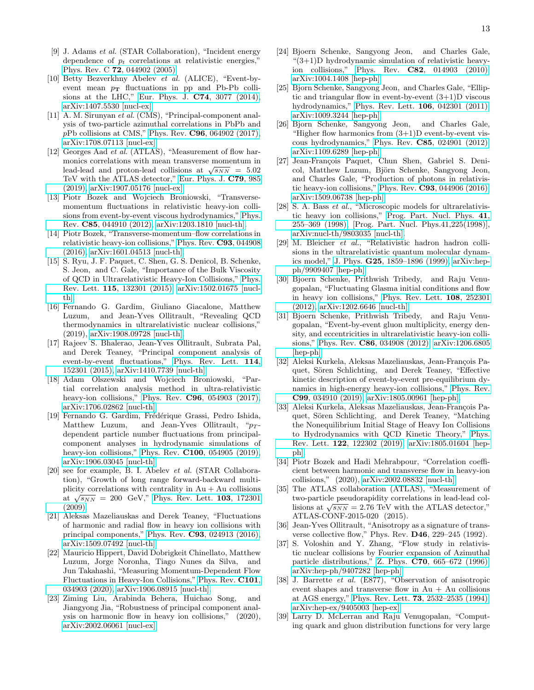- <span id="page-12-0"></span>[9] J. Adams et al. (STAR Collaboration), "Incident energy dependence of  $p_t$  correlations at relativistic energies," Phys. Rev. C 72[, 044902 \(2005\).](http://dx.doi.org/ 10.1103/PhysRevC.72.044902)
- <span id="page-12-1"></span>[10] Betty Bezverkhny Abelev et al. (ALICE), "Event-byevent mean  $p_T$  fluctuations in pp and Pb-Pb collisions at the LHC," [Eur. Phys. J.](http://dx.doi.org/10.1140/epjc/s10052-014-3077-y) C74, 3077 (2014), [arXiv:1407.5530 \[nucl-ex\].](http://arxiv.org/abs/1407.5530)
- <span id="page-12-2"></span>[11] A. M. Sirunyan et al. (CMS), "Principal-component analysis of two-particle azimuthal correlations in PbPb and  $pPb$  collisions at CMS," Phys. Rev.  $C96$ [, 064902 \(2017\),](http://dx.doi.org/10.1103/PhysRevC.96.064902) [arXiv:1708.07113 \[nucl-ex\].](http://arxiv.org/abs/1708.07113)
- <span id="page-12-3"></span>[12] Georges Aad *et al.* (ATLAS), "Measurement of flow harmonics correlations with mean transverse momentum in momes correlations with mean transverse momentum in<br>lead-lead and proton-lead collisions at  $\sqrt{s_{NN}} = 5.02$ TeV with the ATLAS detector," [Eur. Phys. J.](http://dx.doi.org/10.1140/epjc/s10052-019-7489-6) C79, 985 [\(2019\),](http://dx.doi.org/10.1140/epjc/s10052-019-7489-6) [arXiv:1907.05176 \[nucl-ex\].](http://arxiv.org/abs/1907.05176)
- <span id="page-12-4"></span>[13] Piotr Bozek and Wojciech Broniowski, "Transversemomentum fluctuations in relativistic heavy-ion collisions from event-by-event viscous hydrodynamics," [Phys.](http://dx.doi.org/ 10.1103/PhysRevC.85.044910) Rev. C85[, 044910 \(2012\),](http://dx.doi.org/ 10.1103/PhysRevC.85.044910) [arXiv:1203.1810 \[nucl-th\].](http://arxiv.org/abs/1203.1810)
- <span id="page-12-5"></span>[14] Piotr Bozek, "Transverse-momentum–flow correlations in relativistic heavy-ion collisions," [Phys. Rev.](http://dx.doi.org/10.1103/PhysRevC.93.044908) C93, 044908 [\(2016\),](http://dx.doi.org/10.1103/PhysRevC.93.044908) [arXiv:1601.04513 \[nucl-th\].](http://arxiv.org/abs/1601.04513)
- <span id="page-12-6"></span>[15] S. Ryu, J. F. Paquet, C. Shen, G. S. Denicol, B. Schenke, S. Jeon, and C. Gale, "Importance of the Bulk Viscosity of QCD in Ultrarelativistic Heavy-Ion Collisions," [Phys.](http://dx.doi.org/10.1103/PhysRevLett.115.132301) Rev. Lett. 115[, 132301 \(2015\),](http://dx.doi.org/10.1103/PhysRevLett.115.132301) [arXiv:1502.01675 \[nucl](http://arxiv.org/abs/1502.01675)[th\].](http://arxiv.org/abs/1502.01675)
- <span id="page-12-7"></span>[16] Fernando G. Gardim, Giuliano Giacalone, Matthew Luzum, and Jean-Yves Ollitrault, "Revealing QCD thermodynamics in ultrarelativistic nuclear collisions," (2019), [arXiv:1908.09728 \[nucl-th\].](http://arxiv.org/abs/1908.09728)
- <span id="page-12-8"></span>[17] Rajeev S. Bhalerao, Jean-Yves Ollitrault, Subrata Pal, and Derek Teaney, "Principal component analysis of event-by-event fluctuations," [Phys. Rev. Lett.](http://dx.doi.org/10.1103/PhysRevLett.114.152301) 114, [152301 \(2015\),](http://dx.doi.org/10.1103/PhysRevLett.114.152301) [arXiv:1410.7739 \[nucl-th\].](http://arxiv.org/abs/1410.7739)
- <span id="page-12-10"></span>[18] Adam Olszewski and Wojciech Broniowski, "Partial correlation analysis method in ultra-relativistic heavy-ion collisions," Phys. Rev. **C96**[, 054903 \(2017\),](http://dx.doi.org/10.1103/PhysRevC.96.054903) [arXiv:1706.02862 \[nucl-th\].](http://arxiv.org/abs/1706.02862)
- <span id="page-12-9"></span>[19] Fernando G. Gardim, Frédérique Grassi, Pedro Ishida, Matthew Luzum, and Jean-Yves Ollitrault, " $p_T$ dependent particle number fluctuations from principalcomponent analyses in hydrodynamic simulations of heavy-ion collisions," Phys. Rev. **C100**[, 054905 \(2019\),](http://dx.doi.org/10.1103/PhysRevC.100.054905) [arXiv:1906.03045 \[nucl-th\].](http://arxiv.org/abs/1906.03045)
- <span id="page-12-11"></span>[20] see for example, B. I. Abelev et al. (STAR Collaboration), "Growth of long range forward-backward multiplicity correlations with centrality in  $Au + Au$  collisions phetty correlations with centrality in  $Au + Au$  consions at  $\sqrt{s_{NN}} = 200$  GeV," [Phys. Rev. Lett.](http://dx.doi.org/10.1103/PhysRevLett.103.172301) **103**, 172301 [\(2009\).](http://dx.doi.org/10.1103/PhysRevLett.103.172301)
- <span id="page-12-12"></span>[21] Aleksas Mazeliauskas and Derek Teaney, "Fluctuations of harmonic and radial flow in heavy ion collisions with principal components," Phys. Rev. C93[, 024913 \(2016\),](http://dx.doi.org/10.1103/PhysRevC.93.024913) [arXiv:1509.07492 \[nucl-th\].](http://arxiv.org/abs/1509.07492)
- <span id="page-12-13"></span>[22] Mauricio Hippert, David Dobrigkeit Chinellato, Matthew Luzum, Jorge Noronha, Tiago Nunes da Silva, and Jun Takahashi, "Measuring Momentum-Dependent Flow Fluctuations in Heavy-Ion Collisions," [Phys. Rev.](http://dx.doi.org/10.1103/PhysRevC.101.034903) C101, [034903 \(2020\),](http://dx.doi.org/10.1103/PhysRevC.101.034903) [arXiv:1906.08915 \[nucl-th\].](http://arxiv.org/abs/1906.08915)
- <span id="page-12-14"></span>[23] Ziming Liu, Arabinda Behera, Huichao Song, and Jiangyong Jia, "Robustness of principal component analysis on harmonic flow in heavy ion collisions," (2020), [arXiv:2002.06061 \[nucl-ex\].](http://arxiv.org/abs/2002.06061)
- <span id="page-12-15"></span>[24] Bjoern Schenke, Sangyong Jeon, and Charles Gale, "(3+1)D hydrodynamic simulation of relativistic heavyion collisions," Phys. Rev. C82[, 014903 \(2010\),](http://dx.doi.org/10.1103/PhysRevC.82.014903) [arXiv:1004.1408 \[hep-ph\].](http://arxiv.org/abs/1004.1408)
- [25] Bjorn Schenke, Sangyong Jeon, and Charles Gale, "Elliptic and triangular flow in event-by-event (3+1)D viscous hydrodynamics," [Phys. Rev. Lett.](http://dx.doi.org/10.1103/PhysRevLett.106.042301) 106, 042301 (2011), [arXiv:1009.3244 \[hep-ph\].](http://arxiv.org/abs/1009.3244)
- <span id="page-12-27"></span>[26] Bjorn Schenke, Sangyong Jeon, and Charles Gale, "Higher flow harmonics from  $(3+1)D$  event-by-event viscous hydrodynamics," Phys. Rev. C85[, 024901 \(2012\),](http://dx.doi.org/10.1103/PhysRevC.85.024901) [arXiv:1109.6289 \[hep-ph\].](http://arxiv.org/abs/1109.6289)
- <span id="page-12-16"></span>[27] Jean-François Paquet, Chun Shen, Gabriel S. Denicol, Matthew Luzum, Björn Schenke, Sangyong Jeon, and Charles Gale, "Production of photons in relativistic heavy-ion collisions," Phys. Rev. C93[, 044906 \(2016\),](http://dx.doi.org/10.1103/PhysRevC.93.044906) [arXiv:1509.06738 \[hep-ph\].](http://arxiv.org/abs/1509.06738)
- <span id="page-12-17"></span>[28] S. A. Bass et al., "Microscopic models for ultrarelativistic heavy ion collisions," [Prog. Part. Nucl. Phys.](http://dx.doi.org/10.1016/S0146-6410(98)00058-1) 41, [255–369 \(1998\),](http://dx.doi.org/10.1016/S0146-6410(98)00058-1) [Prog. Part. Nucl. Phys.41,225(1998)], [arXiv:nucl-th/9803035 \[nucl-th\].](http://arxiv.org/abs/nucl-th/9803035)
- <span id="page-12-18"></span>[29] M. Bleicher et al., "Relativistic hadron hadron collisions in the ultrarelativistic quantum molecular dynamics model," J. Phys. G25[, 1859–1896 \(1999\),](http://dx.doi.org/10.1088/0954-3899/25/9/308) [arXiv:hep](http://arxiv.org/abs/hep-ph/9909407)[ph/9909407 \[hep-ph\].](http://arxiv.org/abs/hep-ph/9909407)
- <span id="page-12-19"></span>[30] Bjoern Schenke, Prithwish Tribedy, and Raju Venugopalan, "Fluctuating Glasma initial conditions and flow in heavy ion collisions," [Phys. Rev. Lett.](http://dx.doi.org/10.1103/PhysRevLett.108.252301) 108, 252301 [\(2012\),](http://dx.doi.org/10.1103/PhysRevLett.108.252301) [arXiv:1202.6646 \[nucl-th\].](http://arxiv.org/abs/1202.6646)
- <span id="page-12-20"></span>[31] Bjoern Schenke, Prithwish Tribedy, and Raju Venugopalan, "Event-by-event gluon multiplicity, energy density, and eccentricities in ultrarelativistic heavy-ion collisions," Phys. Rev. C86[, 034908 \(2012\),](http://dx.doi.org/ 10.1103/PhysRevC.86.034908) [arXiv:1206.6805](http://arxiv.org/abs/1206.6805) [\[hep-ph\].](http://arxiv.org/abs/1206.6805)
- <span id="page-12-21"></span>[32] Aleksi Kurkela, Aleksas Mazeliauskas, Jean-François Paquet, Sören Schlichting, and Derek Teaney, "Effective kinetic description of event-by-event pre-equilibrium dynamics in high-energy heavy-ion collisions," [Phys. Rev.](http://dx.doi.org/ 10.1103/PhysRevC.99.034910) C99[, 034910 \(2019\),](http://dx.doi.org/ 10.1103/PhysRevC.99.034910) [arXiv:1805.00961 \[hep-ph\].](http://arxiv.org/abs/1805.00961)
- <span id="page-12-22"></span>[33] Aleksi Kurkela, Aleksas Mazeliauskas, Jean-François Paquet, Sören Schlichting, and Derek Teaney, "Matching the Nonequilibrium Initial Stage of Heavy Ion Collisions to Hydrodynamics with QCD Kinetic Theory," [Phys.](http://dx.doi.org/ 10.1103/PhysRevLett.122.122302) Rev. Lett. 122[, 122302 \(2019\),](http://dx.doi.org/ 10.1103/PhysRevLett.122.122302) [arXiv:1805.01604 \[hep](http://arxiv.org/abs/1805.01604)[ph\].](http://arxiv.org/abs/1805.01604)
- <span id="page-12-23"></span>[34] Piotr Bozek and Hadi Mehrabpour, "Correlation coefficient between harmonic and transverse flow in heavy-ion collisions," (2020), [arXiv:2002.08832 \[nucl-th\].](http://arxiv.org/abs/2002.08832)
- <span id="page-12-24"></span>[35] The ATLAS collaboration (ATLAS), "Measurement of two-particle pseudorapidity correlations in lead-lead coltwo-particle pseudoraphility correlations in lead-lead collisions at  $\sqrt{s_{NN}}$  = 2.76 TeV with the ATLAS detector," ATLAS-CONF-2015-020 (2015).
- <span id="page-12-25"></span>[36] Jean-Yves Ollitrault, "Anisotropy as a signature of transverse collective flow," Phys. Rev. D46, 229–245 (1992).
- [37] S. Voloshin and Y. Zhang, "Flow study in relativistic nuclear collisions by Fourier expansion of Azimuthal particle distributions," Z. Phys. C70[, 665–672 \(1996\),](http://dx.doi.org/10.1007/s002880050141) [arXiv:hep-ph/9407282 \[hep-ph\].](http://arxiv.org/abs/hep-ph/9407282)
- <span id="page-12-26"></span>[38] J. Barrette et al. (E877), "Observation of anisotropic event shapes and transverse flow in  $Au + Au$  collisions at AGS energy," Phys. Rev. Lett. 73[, 2532–2535 \(1994\),](http://dx.doi.org/ 10.1103/PhysRevLett.73.2532) [arXiv:hep-ex/9405003 \[hep-ex\].](http://arxiv.org/abs/hep-ex/9405003)
- <span id="page-12-28"></span>[39] Larry D. McLerran and Raju Venugopalan, "Computing quark and gluon distribution functions for very large